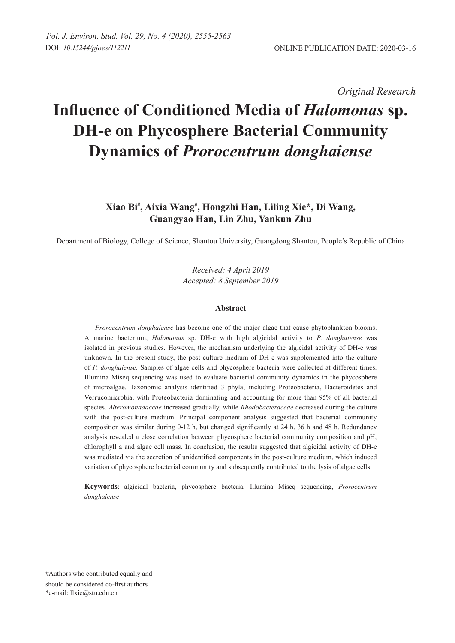*Original Research* 

# **Influence of Conditioned Media of** *Halomonas* **sp. DH-e on Phycosphere Bacterial Community Dynamics of** *Prorocentrum donghaiense*

## **Xiao Bi# , Aixia Wang# , Hongzhi Han, Liling Xie\*, Di Wang, Guangyao Han, Lin Zhu, Yankun Zhu**

Department of Biology, College of Science, Shantou University, Guangdong Shantou, People's Republic of China

*Received: 4 April 2019 Accepted: 8 September 2019*

#### **Abstract**

*Prorocentrum donghaiense* has become one of the major algae that cause phytoplankton blooms. A marine bacterium, *Halomonas* sp. DH-e with high algicidal activity to *P. donghaiense* was isolated in previous studies. However, the mechanism underlying the algicidal activity of DH-e was unknown. In the present study, the post-culture medium of DH-e was supplemented into the culture of *P. donghaiense.* Samples of algae cells and phycosphere bacteria were collected at different times. Illumina Miseq sequencing was used to evaluate bacterial community dynamics in the phycosphere of microalgae. Taxonomic analysis identified 3 phyla, including Proteobacteria, Bacteroidetes and Verrucomicrobia, with Proteobacteria dominating and accounting for more than 95% of all bacterial species. *Alteromonadaceae* increased gradually, while *Rhodobacteraceae* decreased during the culture with the post-culture medium. Principal component analysis suggested that bacterial community composition was similar during 0-12 h, but changed significantly at 24 h, 36 h and 48 h. Redundancy analysis revealed a close correlation between phycosphere bacterial community composition and pH, chlorophyll a and algae cell mass. In conclusion, the results suggested that algicidal activity of DH-e was mediated via the secretion of unidentified components in the post-culture medium, which induced variation of phycosphere bacterial community and subsequently contributed to the lysis of algae cells.

**Keywords**: algicidal bacteria, phycosphere bacteria, Illumina Miseq sequencing, *Prorocentrum donghaiense*

<sup>#</sup>Authors who contributed equally and should be considered co-first authors \*e-mail: llxie@stu.edu.cn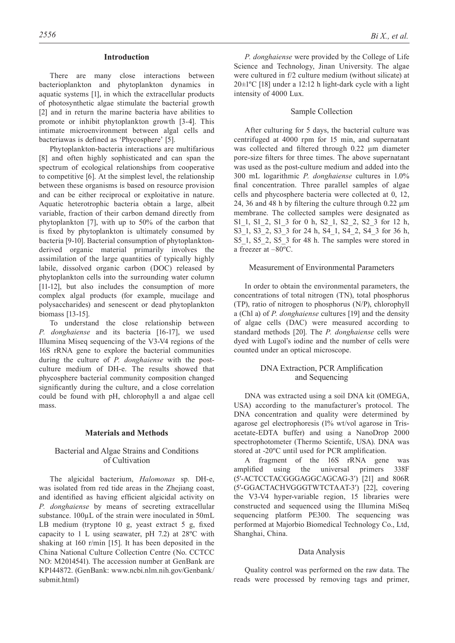### **Introduction**

There are many close interactions between bacterioplankton and phytoplankton dynamics in aquatic systems [1], in which the extracellular products of photosynthetic algae stimulate the bacterial growth [2] and in return the marine bacteria have abilities to promote or inhibit phytoplankton growth [3-4]. This intimate microenvironment between algal cells and bacteriawas is defined as 'Phycosphere' [5].

Phytoplankton-bacteria interactions are multifarious [8] and often highly sophisticated and can span the spectrum of ecological relationships from cooperative to competitive [6]. At the simplest level, the relationship between these organisms is based on resource provision and can be either reciprocal or exploitative in nature. Aquatic heterotrophic bacteria obtain a large, albeit variable, fraction of their carbon demand directly from phytoplankton [7], with up to 50% of the carbon that is fixed by phytoplankton is ultimately consumed by bacteria [9-10]. Bacterial consumption of phytoplanktonderived organic material primarily involves the assimilation of the large quantities of typically highly labile, dissolved organic carbon (DOC) released by phytoplankton cells into the surrounding water column [11-12], but also includes the consumption of more complex algal products (for example, mucilage and polysaccharides) and senescent or dead phytoplankton biomass [13-15].

To understand the close relationship between *P. donghaiense* and its bacteria [16-17], we used Illumina Miseq sequencing of the V3-V4 regions of the 16S rRNA gene to explore the bacterial communities during the culture of *P. donghaiense* with the postculture medium of DH-e. The results showed that phycosphere bacterial community composition changed significantly during the culture, and a close correlation could be found with pH, chlorophyll a and algae cell mass.

#### **Materials and Methods**

### Bacterial and Algae Strains and Conditions of Cultivation

The algicidal bacterium, *Halomonas* sp. DH-e, was isolated from red tide areas in the Zhejiang coast, and identified as having efficient algicidal activity on *P. donghaiense* by means of secreting extracellular substance.  $100\mu L$  of the strain were inoculated in 50mL LB medium (tryptone 10 g, yeast extract 5 g, fixed capacity to 1 L using seawater, pH 7.2) at 28ºC with shaking at 160 r/min [15]. It has been deposited in the China National Culture Collection Centre (No. CCTCC NO: M2014541). The accession number at GenBank are KP144872. (GenBank: www.ncbi.nlm.nih.gov/Genbank/ submit.html)

*P. donghaiense* were provided by the College of Life Science and Technology, Jinan University. The algae were cultured in f/2 culture medium (without silicate) at  $20 \pm 1$ <sup>o</sup>C [18] under a 12:12 h light-dark cycle with a light intensity of 4000 Lux.

## Sample Collection

After culturing for 5 days, the bacterial culture was centrifuged at 4000 rpm for 15 min, and supernatant was collected and filtered through 0.22 μm diameter pore-size filters for three times. The above supernatant was used as the post-culture medium and added into the 300 mL logarithmic *P. donghaiense* cultures in 1.0% final concentration. Three parallel samples of algae cells and phycosphere bacteria were collected at 0, 12, 24, 36 and 48 h by filtering the culture through 0.22 μm membrane. The collected samples were designated as S1\_1, S1\_2, S1\_3 for 0 h, S2\_1, S2\_2, S2\_3 for 12 h, S3\_1, S3\_2, S3\_3 for 24 h, S4\_1, S4\_2, S4\_3 for 36 h, S5\_1, S5\_2, S5\_3 for 48 h. The samples were stored in a freezer at –80ºC.

### Measurement of Environmental Parameters

In order to obtain the environmental parameters, the concentrations of total nitrogen (TN), total phosphorus (TP), ratio of nitrogen to phosphorus (N/P), chlorophyll a (Chl a) of *P. donghaiense* cultures [19] and the density of algae cells (DAC) were measured according to standard methods [20]. The *P. donghaiense* cells were dyed with Lugol's iodine and the number of cells were counted under an optical microscope.

## DNA Extraction, PCR Amplification and Sequencing

DNA was extracted using a soil DNA kit (OMEGA, USA) according to the manufacturer's protocol. The DNA concentration and quality were determined by agarose gel electrophoresis (1% wt/vol agarose in Trisacetate-EDTA buffer) and using a NanoDrop 2000 spectrophotometer (Thermo Scientifc, USA). DNA was stored at -20ºC until used for PCR amplification.

A fragment of the 16S rRNA gene was amplified using the universal primers 338F (5′-ACTCCTACGGGAGGCAGCAG-3′) [21] and 806R (5′-GGACTACHVGGGTWTCTAAT-3′) [22], covering the V3-V4 hyper-variable region, 15 libraries were constructed and sequenced using the Illumina MiSeq sequencing platform PE300. The sequencing was performed at Majorbio Biomedical Technology Co., Ltd, Shanghai, China.

#### Data Analysis

Quality control was performed on the raw data. The reads were processed by removing tags and primer,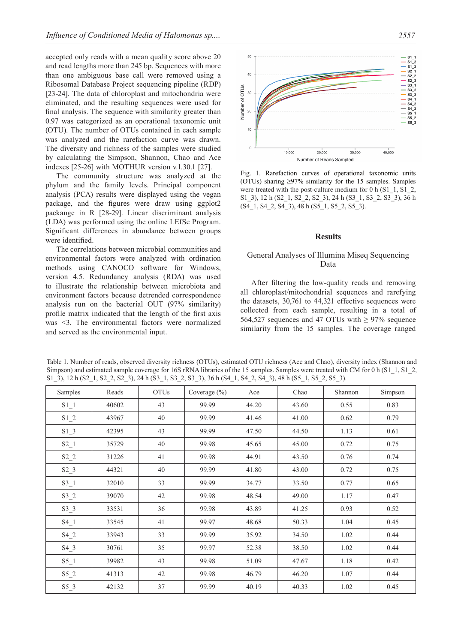accepted only reads with a mean quality score above 20 and read lengths more than 245 bp. Sequences with more than one ambiguous base call were removed using a Ribosomal Database Project sequencing pipeline (RDP) [23-24]. The data of chloroplast and mitochondria were eliminated, and the resulting sequences were used for final analysis. The sequence with similarity greater than 0.97 was categorized as an operational taxonomic unit (OTU). The number of OTUs contained in each sample was analyzed and the rarefaction curve was drawn. The diversity and richness of the samples were studied by calculating the Simpson, Shannon, Chao and Ace indexes [25-26] with MOTHUR version v.1.30.1 [27].

The community structure was analyzed at the phylum and the family levels. Principal component analysis (PCA) results were displayed using the vegan package, and the figures were draw using ggplot2 packange in R [28-29]. Linear discriminant analysis (LDA) was performed using the online LEfSe Program. Significant differences in abundance between groups were identified.

The correlations between microbial communities and environmental factors were analyzed with ordination methods using CANOCO software for Windows, version 4.5. Redundancy analysis (RDA) was used to illustrate the relationship between microbiota and environment factors because detrended correspondence analysis run on the bacterial OUT (97% similarity) profile matrix indicated that the length of the first axis was <3. The environmental factors were normalized and served as the environmental input.



Fig. 1. Rarefaction curves of operational taxonomic units (OTUs) sharing  $\geq$ 97% similarity for the 15 samples. Samples were treated with the post-culture medium for 0 h (S1\_1, S1\_2, S1\_3), 12 h (S2\_1, S2\_2, S2\_3), 24 h (S3\_1, S3\_2, S3\_3), 36 h (S4\_1, S4\_2, S4\_3), 48 h (S5\_1, S5\_2, S5\_3).

#### **Results**

## General Analyses of Illumina Miseq Sequencing Data

After filtering the low-quality reads and removing all chloroplast/mitochondrial sequences and rarefying the datasets, 30,761 to 44,321 effective sequences were collected from each sample, resulting in a total of 564,527 sequences and 47 OTUs with  $> 97\%$  sequence similarity from the 15 samples. The coverage ranged

| Samples | Reads | <b>OTUs</b> | Coverage $(\% )$ | Ace   | Chao  | Shannon | Simpson |
|---------|-------|-------------|------------------|-------|-------|---------|---------|
| $S1_1$  | 40602 | 43          | 99.99            | 44.20 | 43.60 | 0.55    | 0.83    |
| $S1_2$  | 43967 | 40          | 99.99            | 41.46 | 41.00 | 0.62    | 0.79    |
| $S1_3$  | 42395 | 43          | 99.99            | 47.50 | 44.50 | 1.13    | 0.61    |
| $S2_1$  | 35729 | 40          | 99.98            | 45.65 | 45.00 | 0.72    | 0.75    |
| $S2_2$  | 31226 | 41          | 99.98            | 44.91 | 43.50 | 0.76    | 0.74    |
| $S2_3$  | 44321 | 40          | 99.99            | 41.80 | 43.00 | 0.72    | 0.75    |
| $S3_1$  | 32010 | 33          | 99.99            | 34.77 | 33.50 | 0.77    | 0.65    |
| $S3_2$  | 39070 | 42          | 99.98            | 48.54 | 49.00 | 1.17    | 0.47    |
| $S3_3$  | 33531 | 36          | 99.98            | 43.89 | 41.25 | 0.93    | 0.52    |
| $S4_1$  | 33545 | 41          | 99.97            | 48.68 | 50.33 | 1.04    | 0.45    |
| $S4_2$  | 33943 | 33          | 99.99            | 35.92 | 34.50 | 1.02    | 0.44    |
| $S4_3$  | 30761 | 35          | 99.97            | 52.38 | 38.50 | 1.02    | 0.44    |
| $S5_1$  | 39982 | 43          | 99.98            | 51.09 | 47.67 | 1.18    | 0.42    |
| $S5_2$  | 41313 | 42          | 99.98            | 46.79 | 46.20 | 1.07    | 0.44    |
| $S5_3$  | 42132 | 37          | 99.99            | 40.19 | 40.33 | 1.02    | 0.45    |

Table 1. Number of reads, observed diversity richness (OTUs), estimated OTU richness (Ace and Chao), diversity index (Shannon and Simpson) and estimated sample coverage for 16S rRNA libraries of the 15 samples. Samples were treated with CM for 0 h (S1\_1, S1\_2, S1\_3), 12 h (S2\_1, S2\_2, S2\_3), 24 h (S3\_1, S3\_2, S3\_3), 36 h (S4\_1, S4\_2, S4\_3), 48 h (S5\_1, S5\_2, S5\_3).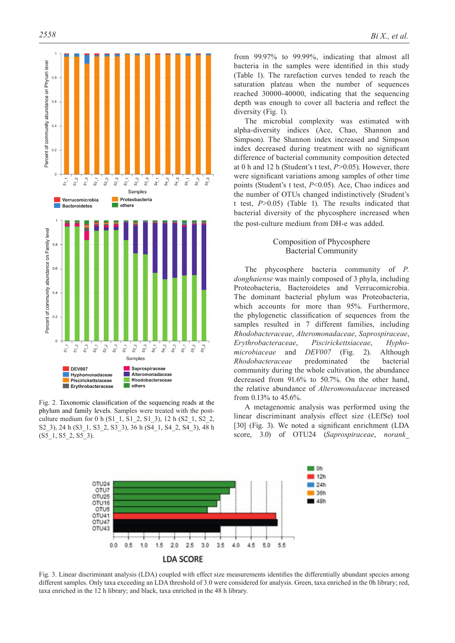

Fig. 2. Taxonomic classification of the sequencing reads at the phylum and family levels. Samples were treated with the postculture medium for 0 h (S1\_1, S1\_2, S1\_3), 12 h (S2\_1, S2\_2, S2\_3), 24 h (S3\_1, S3\_2, S3\_3), 36 h (S4\_1, S4\_2, S4\_3), 48 h  $(S5_1, S5_2, S5_3)$ .

from 99.97% to 99.99%, indicating that almost all bacteria in the samples were identified in this study (Table 1). The rarefaction curves tended to reach the saturation plateau when the number of sequences reached 30000-40000, indicating that the sequencing depth was enough to cover all bacteria and reflect the diversity (Fig. 1).

The microbial complexity was estimated with alpha-diversity indices (Ace, Chao, Shannon and Simpson). The Shannon index increased and Simpson index decreased during treatment with no significant difference of bacterial community composition detected at 0 h and 12 h (Student's t test, *P*>0.05). However, there were significant variations among samples of other time points (Student's t test, *P*<0.05). Ace, Chao indices and the number of OTUs changed indistinctively (Student's t test, *P*>0.05) (Table 1). The results indicated that bacterial diversity of the phycosphere increased when the post-culture medium from DH-e was added.

## Composition of Phycosphere Bacterial Community

The phycosphere bacteria community of *P. donghaiense* was mainly composed of 3 phyla, including Proteobacteria, Bacteroidetes and Verrucomicrobia. The dominant bacterial phylum was Proteobacteria, which accounts for more than 95%. Furthermore, the phylogenetic classification of sequences from the samples resulted in 7 different families, including *Rhodobacteraceae*, *Alteromonadaceae*, *Saprospiraceae*, *Erythrobacteraceae*, *Piscirickettsiaceae*, *Hyphomicrobiaceae* and *DEV007* (Fig. 2). Although *Rhodobacteraceae* predominated the bacterial community during the whole cultivation, the abundance decreased from 91.6% to 50.7%. On the other hand, the relative abundance of *Alteromonadaceae* increased from 0.13% to 45.6%.

A metagenomic analysis was performed using the linear discriminant analysis effect size (LEfSe) tool [30] (Fig. 3). We noted a significant enrichment (LDA score, 3.0) of OTU24 (*Saprospiraceae*, *norank\_*



Fig. 3. Linear discriminant analysis (LDA) coupled with effect size measurements identifies the differentially abundant species among different samples. Only taxa exceeding an LDA threshold of 3.0 were considered for analysis. Green, taxa enriched in the 0h library; red, taxa enriched in the 12 h library; and black, taxa enriched in the 48 h library.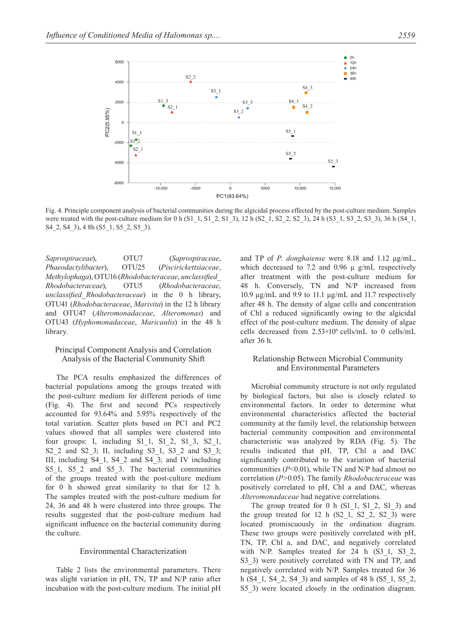

Fig. 4. Principle component analysis of bacterial communities during the algicidal process effected by the post-culture medium. Samples were treated with the post-culture medium for 0 h (S1\_1, S1\_2, S1\_3), 12 h (S2\_1, S2\_2, S2\_3), 24 h (S3\_1, S3\_2, S3\_3), 36 h (S4\_1, S4\_2, S4\_3), 4 8h (S5\_1, S5\_2, S5\_3).

*Saprospiraceae*), OTU7 (*Saprospiraceae*, *Phaeodactylibacter*), OTU25 (*Piscirickettsiaceae*, *Methylophaga*), OTU16 (*Rhodobacteraceae*, *unclassified\_ Rhodobacteraceae*), OTU5 (*Rhodobacteraceae*, *unclassified\_Rhodobacteraceae*) in the 0 h library, OTU41 (*Rhodobacteraceae*, *Marivita*) in the 12 h library and OTU47 (*Alteromonadaceae*, *Alteromonas*) and OTU43 (*Hyphomonadaceae*, *Maricaulis*) in the 48 h library.

## Principal Component Analysis and Correlation Analysis of the Bacterial Community Shift

The PCA results emphasized the differences of bacterial populations among the groups treated with the post-culture medium for different periods of time (Fig. 4). The first and second PCs respectively accounted for 93.64% and 5.95% respectively of the total variation. Scatter plots based on PC1 and PC2 values showed that all samples were clustered into four groups: I, including S1\_1, S1\_2, S1\_3, S2\_1, S2\_2 and S2\_3; II, including S3\_1, S3\_2 and S3\_3; III, including S4\_1, S4\_2 and S4\_3; and IV including S5\_1, S5\_2 and S5\_3. The bacterial communities of the groups treated with the post-culture medium for 0 h showed great similarity to that for 12 h. The samples treated with the post-culture medium for 24, 36 and 48 h were clustered into three groups. The results suggested that the post-culture medium had significant influence on the bacterial community during the culture.

#### Environmental Characterization

Table 2 lists the environmental parameters. There was slight variation in pH, TN, TP and N/P ratio after incubation with the post-culture medium. The initial pH

and TP of *P. donghaiense* were 8.18 and 1.12 μg/mL, which decreased to 7.2 and 0.96  $\mu$  g/mL respectively after treatment with the post-culture medium for 48 h. Conversely, TN and N/P increased from 10.9 μg/mL and 9.9 to 11.1 μg/mL and 11.7 respectively after 48 h. The density of algae cells and concentration of Chl a reduced significantly owing to the algicidal effect of the post-culture medium. The density of algae cells decreased from  $2.53\times10^6$  cells/mL to 0 cells/mL after 36 h.

## Relationship Between Microbial Community and Environmental Parameters

Microbial community structure is not only regulated by biological factors, but also is closely related to environmental factors. In order to determine what environmental characteristics affected the bacterial community at the family level, the relationship between bacterial community composition and environmental characteristic was analyzed by RDA (Fig. 5). The results indicated that pH, TP, Chl a and DAC significantly contributed to the variation of bacterial communities (*P*<0.01), while TN and N/P had almost no correlation (*P*>0.05). The family *Rhodobacteraceae* was positively correlated to pH, Chl a and DAC, whereas *Alteromonadaceae* had negative correlations.

The group treated for  $0$  h  $(S1\ 1, S1\ 2, S1\ 3)$  and the group treated for  $12$  h  $(S2\ 1, S2\ 2, S2\ 3)$  were located promiscuously in the ordination diagram. These two groups were positively correlated with pH, TN, TP, Chl a, and DAC, and negatively correlated with N/P. Samples treated for 24 h (S3 1, S3 2, S3 3) were positively correlated with TN and TP, and negatively correlated with N/P. Samples treated for 36 h (S4\_1, S4\_2, S4\_3) and samples of 48 h (S5\_1, S5\_2, S5\_3) were located closely in the ordination diagram.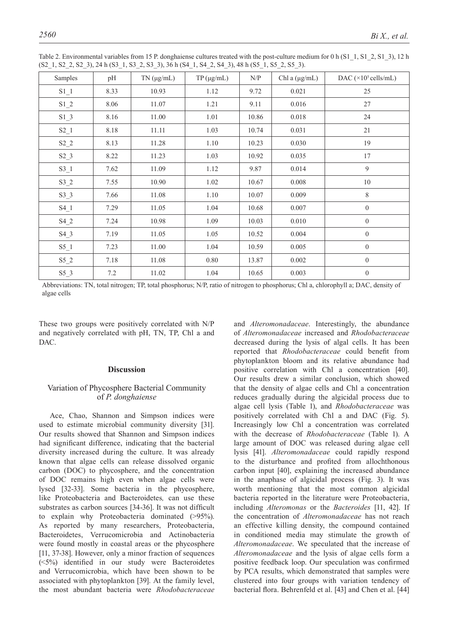| Samples | pH   | $TN$ ( $\mu$ g/mL) | $TP(\mu g/mL)$ | N/P   | Chl a $(\mu g/mL)$ | DAC $(\times 10^5 \text{ cells/mL})$ |  |  |  |  |
|---------|------|--------------------|----------------|-------|--------------------|--------------------------------------|--|--|--|--|
| $S1_1$  | 8.33 | 10.93              | 1.12           | 9.72  | 0.021              | 25                                   |  |  |  |  |
| $S1_2$  | 8.06 | 11.07              | 1.21           | 9.11  | 0.016              | 27                                   |  |  |  |  |
| $S1_3$  | 8.16 | 11.00              | 1.01           | 10.86 | 0.018              | 24                                   |  |  |  |  |
| $S2_1$  | 8.18 | 11.11              | 1.03           | 10.74 | 0.031              | 21                                   |  |  |  |  |
| $S2_2$  | 8.13 | 11.28              | 1.10           | 10.23 | 0.030              | 19                                   |  |  |  |  |
| $S2_3$  | 8.22 | 11.23              | 1.03           | 10.92 | 0.035              | 17                                   |  |  |  |  |
| $S3_1$  | 7.62 | 11.09              | 1.12           | 9.87  | 0.014              | $\overline{9}$                       |  |  |  |  |
| $S3_2$  | 7.55 | 10.90              | 1.02           | 10.67 | 0.008              | 10                                   |  |  |  |  |
| $S3_3$  | 7.66 | 11.08              | $1.10\,$       | 10.07 | 0.009              | $8\,$                                |  |  |  |  |
| $S4_1$  | 7.29 | 11.05              | 1.04           | 10.68 | 0.007              | $\boldsymbol{0}$                     |  |  |  |  |
| $S4_2$  | 7.24 | 10.98              | 1.09           | 10.03 | 0.010              | $\overline{0}$                       |  |  |  |  |
| $S4_3$  | 7.19 | 11.05              | 1.05           | 10.52 | 0.004              | $\boldsymbol{0}$                     |  |  |  |  |
| $S5_1$  | 7.23 | 11.00              | 1.04           | 10.59 | 0.005              | $\overline{0}$                       |  |  |  |  |
| $S5_2$  | 7.18 | 11.08              | 0.80           | 13.87 | 0.002              | $\overline{0}$                       |  |  |  |  |
| $S5_3$  | 7.2  | 11.02              | 1.04           | 10.65 | 0.003              | $\boldsymbol{0}$                     |  |  |  |  |

Table 2. Environmental variables from 15 P. donghaiense cultures treated with the post-culture medium for 0 h (S1\_1, S1\_2, S1\_3), 12 h (S2\_1, S2\_2, S2\_3), 24 h (S3\_1, S3\_2, S3\_3), 36 h (S4\_1, S4\_2, S4\_3), 48 h (S5\_1, S5\_2, S5\_3).

Abbreviations: TN, total nitrogen; TP, total phosphorus; N/P, ratio of nitrogen to phosphorus; Chl a, chlorophyll a; DAC, density of algae cells

These two groups were positively correlated with N/P and negatively correlated with pH, TN, TP, Chl a and DAC.

#### **Discussion**

## Variation of Phycosphere Bacterial Community of *P. donghaiense*

Ace, Chao, Shannon and Simpson indices were used to estimate microbial community diversity [31]. Our results showed that Shannon and Simpson indices had significant difference, indicating that the bacterial diversity increased during the culture. It was already known that algae cells can release dissolved organic carbon (DOC) to phycosphere, and the concentration of DOC remains high even when algae cells were lysed [32-33]. Some bacteria in the phycosphere, like Proteobacteria and Bacteroidetes*,* can use these substrates as carbon sources [34-36]. It was not difficult to explain why Proteobacteria dominated (>95%). As reported by many researchers, Proteobacteria, Bacteroidetes, Verrucomicrobia and Actinobacteria were found mostly in coastal areas or the phycosphere [11, 37-38]. However, only a minor fraction of sequences (<5%) identified in our study were Bacteroidetes and Verrucomicrobia, which have been shown to be associated with phytoplankton [39]. At the family level, the most abundant bacteria were *Rhodobacteraceae*

and *Alteromonadaceae*. Interestingly, the abundance of *Alteromonadaceae* increased and *Rhodobacteraceae* decreased during the lysis of algal cells. It has been reported that *Rhodobacteraceae* could benefit from phytoplankton bloom and its relative abundance had positive correlation with Chl a concentration [40]. Our results drew a similar conclusion, which showed that the density of algae cells and Chl a concentration reduces gradually during the algicidal process due to algae cell lysis (Table 1), and *Rhodobacteraceae* was positively correlated with Chl a and DAC (Fig. 5). Increasingly low Chl a concentration was correlated with the decrease of *Rhodobacteraceae* (Table 1). A large amount of DOC was released during algae cell lysis [41]. *Alteromonadaceae* could rapidly respond to the disturbance and profited from allochthonous carbon input [40], explaining the increased abundance in the anaphase of algicidal process (Fig. 3). It was worth mentioning that the most common algicidal bacteria reported in the literature were Proteobacteria, including *Alteromonas* or the *Bacteroides* [11, 42]. If the concentration of *Alteromonadaceae* has not reach an effective killing density, the compound contained in conditioned media may stimulate the growth of *Alteromonadaceae*. We speculated that the increase of *Alteromonadaceae* and the lysis of algae cells form a positive feedback loop. Our speculation was confirmed by PCA results, which demonstrated that samples were clustered into four groups with variation tendency of bacterial flora. Behrenfeld et al. [43] and Chen et al. [44]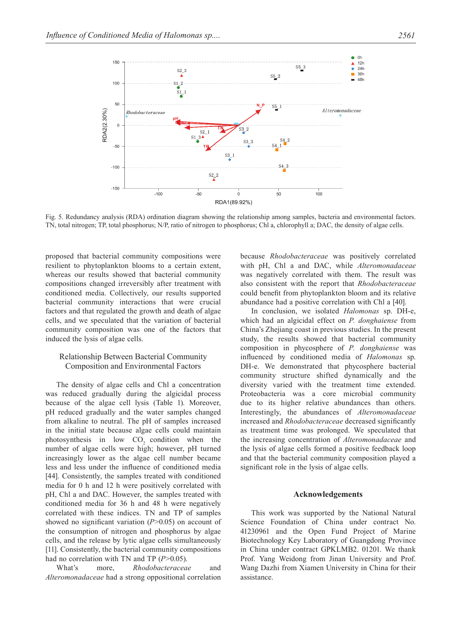

Fig. 5. Redundancy analysis (RDA) ordination diagram showing the relationship among samples, bacteria and environmental factors. TN, total nitrogen; TP, total phosphorus; N/P, ratio of nitrogen to phosphorus; Chl a, chlorophyll a; DAC, the density of algae cells.

proposed that bacterial community compositions were resilient to phytoplankton blooms to a certain extent, whereas our results showed that bacterial community compositions changed irreversibly after treatment with conditioned media. Collectively, our results supported bacterial community interactions that were crucial factors and that regulated the growth and death of algae cells, and we speculated that the variation of bacterial community composition was one of the factors that induced the lysis of algae cells.

## Relationship Between Bacterial Community Composition and Environmental Factors

The density of algae cells and Chl a concentration was reduced gradually during the algicidal process because of the algae cell lysis (Table 1). Moreover, pH reduced gradually and the water samples changed from alkaline to neutral. The pH of samples increased in the initial state because algae cells could maintain photosynthesis in low CO<sub>2</sub> condition when the number of algae cells were high; however, pH turned increasingly lower as the algae cell number became less and less under the influence of conditioned media [44]. Consistently, the samples treated with conditioned media for 0 h and 12 h were positively correlated with pH, Chl a and DAC. However, the samples treated with conditioned media for 36 h and 48 h were negatively correlated with these indices. TN and TP of samples showed no significant variation (*P*>0.05) on account of the consumption of nitrogen and phosphorus by algae cells, and the release by lytic algae cells simultaneously [11]. Consistently, the bacterial community compositions had no correlation with TN and TP (*P*>0.05).

What's more, *Rhodobacteraceae* and *Alteromonadaceae* had a strong oppositional correlation because *Rhodobacteraceae* was positively correlated with pH, Chl a and DAC, while *Alteromonadaceae*  was negatively correlated with them. The result was also consistent with the report that *Rhodobacteraceae* could benefit from phytoplankton bloom and its relative abundance had a positive correlation with Chl a [40].

In conclusion, we isolated *Halomonas* sp. DH-e, which had an algicidal effect on *P. donghaiense* from China's Zhejiang coast in previous studies. In the present study, the results showed that bacterial community composition in phycosphere of *P. donghaiense* was influenced by conditioned media of *Halomonas* sp. DH-e. We demonstrated that phycosphere bacterial community structure shifted dynamically and the diversity varied with the treatment time extended. Proteobacteria was a core microbial community due to its higher relative abundances than others. Interestingly, the abundances of *Alteromonadaceae*  increased and *Rhodobacteraceae* decreased significantly as treatment time was prolonged. We speculated that the increasing concentration of *Alteromonadaceae* and the lysis of algae cells formed a positive feedback loop and that the bacterial community composition played a significant role in the lysis of algae cells.

#### **Acknowledgements**

This work was supported by the National Natural Science Foundation of China under contract No. 41230961 and the Open Fund Project of Marine Biotechnology Key Laboratory of Guangdong Province in China under contract GPKLMB2. 01201. We thank Prof. Yang Weidong from Jinan University and Prof. Wang Dazhi from Xiamen University in China for their assistance.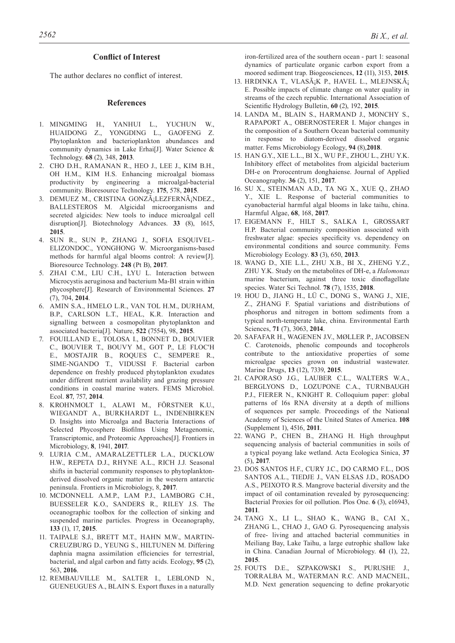#### **Conflict of Interest**

The author declares no conflict of interest.

#### **References**

- 1. MINGMING H., YANHUI L., YUCHUN W., HUAIDONG Z., YONGDING L., GAOFENG Z. Phytoplankton and bacterioplankton abundances and community dynamics in Lake Erhai[J]. Water Science & Technology. **68** (2), 348, **2013**.
- 2. CHO D.H., RAMANAN R., HEO J., LEE J., KIM B.H., OH H.M., KIM H.S. Enhancing microalgal biomass productivity by engineering a microalgal-bacterial community. Bioresource Technology. **175**, 578, **2015**.
- 3. DEMUEZ M., CRISTINA GONZáLEZFERNáNDEZ., BALLESTEROS M. Algicidal microorganisms and secreted algicides: New tools to induce microalgal cell disruption[J]. Biotechnology Advances. **33** (8), 1615, **2015**.
- 4. SUN R., SUN P., ZHANG J., SOFIA ESQUIVEL-ELIZONDOC., YONGHONG W. Microorganisms-based methods for harmful algal blooms control: A review[J]. Bioresource Technology. **248** (Pt B), **2017**.
- 5. ZHAI C.M., LIU C.H., LYU L. Interaction between Microcystis aeruginosa and bacterium Ma-B1 strain within phycosphere[J]. Research of Environmental Sciences. **27**  (7), 704, **2014**.
- 6. AMIN S.A., HMELO L.R., VAN TOL H.M., DURHAM, B.P., CARLSON L.T., HEAL, K.R. Interaction and signalling between a cosmopolitan phytoplankton and associated bacteria[J]. Nature, **522** (7554), 98, **2015**.
- 7. FOUILLAND E., TOLOSA I., BONNET D., BOUVIER C., BOUVIER T., BOUVY M., GOT P., LE FLOC'H E., MOSTAJIR B., ROQUES C., SEMPERE R., SIME-NGANDO T., VIDUSSI F. Bacterial carbon dependence on freshly produced phytoplankton exudates under different nutrient availability and grazing pressure conditions in coastal marine waters. FEMS Microbiol. Ecol. **87**, 757, **2014**.
- 8. KROHNMOLT I., ALAWI M., FÖRSTNER K.U., WIEGANDT A., BURKHARDT L., INDENBIRKEN D. Insights into Microalga and Bacteria Interactions of Selected Phycosphere Biofilms Using Metagenomic, Transcriptomic, and Proteomic Approaches[J]. Frontiers in Microbiology, **8**, 1941, **2017**.
- 9. LURIA C.M., AMARALZETTLER L.A., DUCKLOW H.W., REPETA D.J., RHYNE A.L., RICH J.J. Seasonal shifts in bacterial community responses to phytoplanktonderived dissolved organic matter in the western antarctic peninsula. Frontiers in Microbiology, 8, **2017**.
- 10. MCDONNELL A.M.P., LAM P.J., LAMBORG C.H., BUESSELER K.O., SANDERS R., RILEY J.S. The oceanographic toolbox for the collection of sinking and suspended marine particles. Progress in Oceanography, **133** (1), 17, **2015**.
- 11. TAIPALE S.J., BRETT M.T., HAHN M.W., MARTIN-CREUZBURG D., YEUNG S., HILTUNEN M. Differing daphnia magna assimilation efficiencies for terrestrial, bacterial, and algal carbon and fatty acids. Ecology, **95** (2), 563, **2016**.
- 12. REMBAUVILLE M., SALTER I., LEBLOND N., GUENEUGUES A., BLAIN S. Export fluxes in a naturally

iron-fertilized area of the southern ocean - part 1: seasonal dynamics of particulate organic carbon export from a moored sediment trap. Biogeosciences, **12** (11), 3153, **2015**.

- 13. HRDINKA T., VLASáK P., HAVEL L., MLEJNSKá E. Possible impacts of climate change on water quality in streams of the czech republic. International Association of Scientific Hydrology Bulletin, **60** (2), 192, **2015**.
- 14. LANDA M., BLAIN S., HARMAND J., MONCHY S., RAPAPORT A., OBERNOSTERER I. Major changes in the composition of a Southern Ocean bacterial community in response to diatom-derived dissolved organic matter. Fems Microbiology Ecology, **94** (8),**2018**.
- 15. HAN G.Y., XIE L.L., BI X., WU P.F., ZHOU L., ZHU Y.K. Inhibitory effect of metabolites from algicidal bacterium DH-e on Prorocentrum donghaiense. Journal of Applied Oceanography. **36** (2), 151, **2017**.
- 16. SU X., STEINMAN A.D., TA NG X., XUE Q., ZHAO Y., XIE L. Response of bacterial communities to cyanobacterial harmful algal blooms in lake taihu, china. Harmful Algae, **68**, 168, **2017**.
- 17. EIGEMANN F., HILT S., SALKA I., GROSSART H.P. Bacterial community composition associated with freshwater algae: species specificity vs. dependency on environmental conditions and source community. Fems Microbiology Ecology. **83** (3), 650, **2013**.
- 18. WANG D., XIE L.L., ZHU X.B., BI X., ZHENG Y.Z., ZHU Y.K. Study on the metabolites of DH-e, a *Halomonas* marine bacterium, against three toxic dinoflagellate species. Water Sci Technol. **78** (7), 1535, **2018**.
- 19. HOU D., JIANG H., LÜ C., DONG S., WANG J., XIE, Z., ZHANG F. Spatial variations and distributions of phosphorus and nitrogen in bottom sediments from a typical north-temperate lake, china. Environmental Earth Sciences, **71** (7), 3063, **2014**.
- 20. SAFAFAR H., WAGENEN J.V., MØLLER P., JACOBSEN C. Carotenoids, phenolic compounds and tocopherols contribute to the antioxidative properties of some microalgae species grown on industrial wastewater. Marine Drugs, **13** (12), 7339, **2015**.
- 21. CAPORASO J.G., LAUBER C.L., WALTERS W.A., BERGLYONS D., LOZUPONE C.A., TURNBAUGH P.J., FIERER N., KNIGHT R. Colloquium paper: global patterns of 16s RNA diversity at a depth of millions of sequences per sample. Proceedings of the National Academy of Sciences of the United States of America. **108** (Supplement 1), 4516, **2011**.
- 22. WANG P., CHEN B., ZHANG H. High throughput sequencing analysis of bacterial communities in soils of a typical poyang lake wetland. Acta Ecologica Sinica, **37**  (5), **2017**.
- 23. DOS SANTOS H.F., CURY J.C., DO CARMO F.L., DOS SANTOS A.L., TIEDJE J., VAN ELSAS J.D., ROSADO A.S., PEIXOTO R.S. Mangrove bacterial diversity and the impact of oil contamination revealed by pyrosequencing: Bacterial Proxies for oil pollution. Plos One. **6** (3), e16943, **2011**.
- 24. TANG X., LI L., SHAO K., WANG B., CAI X., ZHANG L., CHAO J., GAO G. Pyrosequencing analysis of free- living and attached bacterial communities in Meiliang Bay, Lake Taihu, a large eutrophic shallow lake in China. Canadian Journal of Microbiology. **61** (1), 22, **2015**.
- 25. FOUTS D.E., SZPAKOWSKI S., PURUSHE J., TORRALBA M., WATERMAN R.C. AND MACNEIL, M.D. Next generation sequencing to define prokaryotic